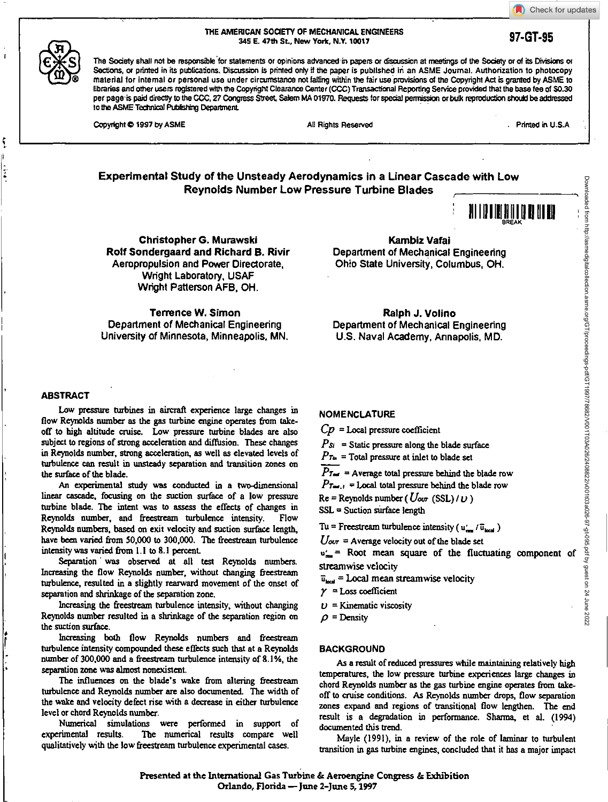Check for updates

#### **THE AMERICAN SOCIETY OF MECHANICAL ENGINEERS 345 E. 47th St, New York, N.Y. 10017 97-GT-95**

The Society shall not be responsible for statements or opinions advanced in papers or discussion at meetings of the Society or of its Divisions or Sections, or printed in its publications. Discussion is printed only if the paper is published in an ASME Journal. Authorization to photocopy material for Internal or personal use under circumstance not fairing within the fair use provisions of the Copyright Act is granted by ASME to libraries and other users registered with the Copyright Clearance Center (CCC) Transactional Reporting Service provided that the base tee of \$0.30 per page is paid directly to the CCC, 27 Congress Street, Salem MA 01970. Requests for special permission or bulk reproduction should be addressed to the ASME Technical Pubfishing Department

Copyright  $\oplus$  1997 by ASME All Rights Reserved All Rights Reserved Printed in U.S.A

# **Experimental Study of the Unsteady Aerodynamics in a Linear Cascade with Low Reynolds Number Low Pressure Turbine Blades**



**Christopher G. Murawski Rolf Sondergaard and Richard B. Rivir**  Aeropropulsion and Power Directorate, Wright Laboratory, USAF Wright Patterson AFB, OH.

**Kambiz Vafai**  Department of Mechanical Engineering Ohio State University, Columbus, OH.

Terrence W. Simon Department of Mechanical Engineering University of Minnesota, Minneapolis, MN.

Ralph J. Volino Department of Mechanical Engineering U.S. Naval Academy, Annapolis, MD.

# **ABSTRACT**

Low pressure turbines in aircraft experience large changes in flow Reynolds number as the gas turbine engine operates from takeoff to high altitude cruise. Low pressure turbine blades are also subject to regions of strong acceleration and diffusion. These changes in Reynolds number, strong acceleration, as well as elevated levels of turbulence can result in unsteady separation and transition zones on the surface of the blade.

An experimental study was conducted in a two-dimensional linear cascade, focusing on the suction surface of a low pressure turbine blade. The intent was to assess the effects of changes in Reynolds number, and freestream turbulence intensity. Flow Reynolds numbers, based on exit velocity and suction surface length, have been varied from 50,000 to 300,000. The freestream turbulence intensity was varied from 1.1 to 8.1 percent.

Separation was observed at all test Reynolds numbers. Increasing the flow Reynolds number, without changing freestream turbulence, resulted in a slightly rearward movement of the onset of separation and shrinkage of the separation zone.

Increasing the freestream turbulence intensity, without changing Reynolds number resulted in a shrinkage of the separation region on the suction surface.

Increasing both flow Reynolds numbers and freestream turbulence intensity compounded these effects such that at a Reynolds number of 300,000 and a freestream turbulence intensity of 8.1%, the separation zone was almost nonexistent.

The influences on the blade's wake from altering freestream turbulence and Reynolds number are also documented. The width of the wake and velocity defect rise with a decrease in either turbulence level or chord Reynolds number.

Numerical simulations were performed in support of experimental results. The numerical results compare well The numerical results compare well qualitatively with the low freestream turbulence experimental cases

# NOMENCLATURE

**Cp =** Local pressure coefficient

 $Ps_i$  = Static pressure along the blade surface

 $P_{\text{Tw}}$  = Total pressure at inlet to blade set

 $P_{\text{Tor}}$  = Average total pressure behind the blade row  $Pr_{\text{net},t}$  = Local total pressure behind the blade row

 $Re =$  Reynolds number ( $U_{\text{out}}$  (SSL)/ $U$ ) SSL = Suction surface length

Tu = Freestream turbulence intensity ( $u_{\text{test}}'$  )

 $U_{\text{out}}$  = Average velocity out of the blade set

 $u_m'$  = Root mean square of the fluctuating component of streamwise velocity

 $\overline{u}_{\text{test}}$  = Local mean streamwise velocity

 $\gamma$  = Loss coefficient

 $U =$ Kinematic viscosity

 $\rho$  = Density

# **BACKGROUND**

As a result of reduced pressures while maintaining relatively high temperatures, the low pressure turbine experiences large changes in chord Reynolds number as the gas turbine engine operates from takeoff to cruise conditions. As Reynolds number drops, flow separation zones expand and regions of transitional flow lengthen. The end result is a degradation in performance. Sharma, et al. (1994) documented this trend.

Mayle (1991), in a review of the role of laminar to turbulent transition in gas turbine engines, concluded that it has a major impact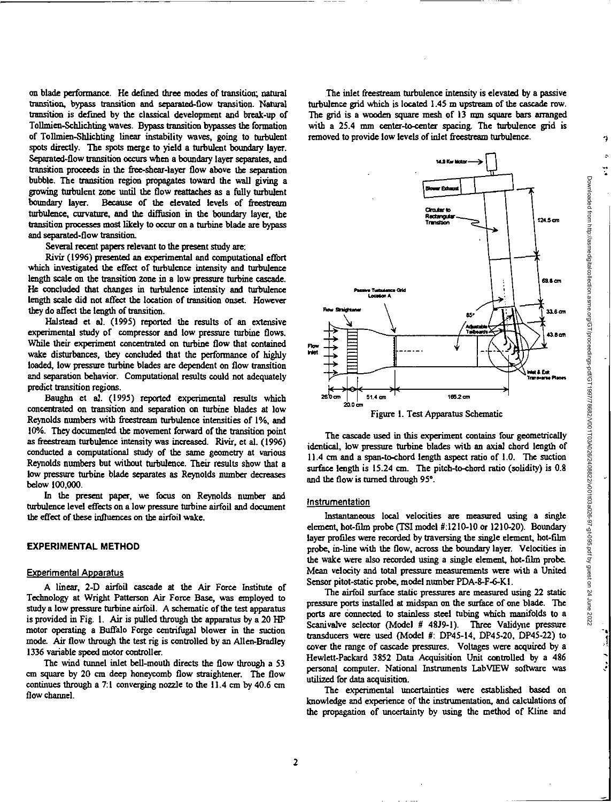on blade performance. *He* defined three modes of transition; natural transition, bypass transition and separated-flow transition. Natural transition is defmed by the classical development and break-up of Tollmien-Schlichting waves. Bypass transition bypasses the formation of Tollmien-Shlichting linear instability waves, going to turbulent spots directly. The spots merge to yield a turbulent boundary layer. Separated-flow transition occurs when a boundary layer separates, and transition proceeds in the free-shear-layer flow above the separation bubble. The transition region propagates toward the wall giving a growing turbulent zone until the flow reattaches as a fully turbulent boundary layer. Because of the elevated levels of freestream turbulence, curvature, and the diffusion in the boundary layer, the transition processes most likely to occur on a turbine blade are bypass and separated-flow transition.

Several recent papers relevant to the present study are:

Rivir (1996) presented an experimental and computational effort which investigated the effect of turbulence intensity and turbulence length scale on the transition zone in a low pressure turbine cascade. He concluded that changes in turbulence intensity and turbulence length scale did not affect the location of transition onset. However they do affect the length of transition.

Halstead et al. (1995) reported the results of an extensive experimental study of compressor and low pressure turbine flows. While their experiment concentrated on turbine flow that contained wake disturbances, they concluded that the performance of highly loaded, low pressure turbine blades are dependent on flow transition and separation behavior. Computational results could not adequately predict transition regions.

Baughn et al. (1995) reported experimental results which concentrated on transition and separation on turbine blades at low Reynolds numbers with freestream turbulence intensities of 1%, and 10%. They documented the movement forward of the transition point as freestream turbulence intensity was increased. Rivir, et al. (1996) conducted a computational study of the same geometry at various Reynolds numbers but without turbulence. Their results show that a low pressure turbine blade separates as Reynolds number decreases below 100,000.

In the present paper, we focus on Reynolds number and turbulence level effects on a low pressure turbine airfoil and document the effect of these influences on the airfoil wake.

# **EXPERIMENTAL METHOD**

#### Experimental Apparatus

A linear, 2-D airfoil cascade at the Air Force Institute of Technology at Wright Patterson Air Force Base, was employed to study a low pressure turbine airfoil. A schematic of the test apparatus is provided in Fig. I. Air is pulled through the apparatus by a 20 HP motor operating a Buffalo Forge centrifugal blower in the suction mode. Air flow through the test rig is controlled by an Allen-Bradley 1336 variable speed motor controller.

The wind tunnel inlet bell-mouth directs the flow through a 53 cm square by 20 cm deep honeycomb flow straightener. The flow continues through a 7:1 converging nozzle to the 11.4 cm by 40.6 cm flow channel.

The inlet freestream turbulence intensity is elevated by a passive turbulence grid which is located 1.45 m upstream of the cascade row. The grid is a wooden square mesh of 13 mm square bars arranged with a 25.4 mm center-to-center spacing. The turbulence grid is removed to provide low levels of inlet freestream turbulence.



The cascade used in this experiment contains four geometrically identical, low pressure turbine blades with an axial chord length of 11.4 cm and a span-to-chord length aspect ratio of 1.0. The suction surface length is 15.24 cm. The pitch-to-chord ratio (solidity) is 0.8 and the flow is turned through 95°.

# Instrumentation

Instantaneous local velocities are measured using a single element, hot-film probe (TSI model #:1210-10 or 1210-20). Boundary layer profiles were recorded by traversing the single element, hot-film probe, in-line with the flow, across the boundary layer. Velocities in the wake were also recorded using a single element, hot-film probe. Mean velocity and total pressure measurements were with a United Sensor pitot-static probe, model number PDA-8-F-6-KI.

The airfoil surface static pressures are measured using 22 static pressure ports installed at midspan on the surface of one blade. The ports are Connected to stainless steel tubing which manifolds to a Scanivalve selector (Model # 4839-1). Three Validyne pressure transducers were used (Model *II:* DP45-14, DP45-20, DP45-22) to cover the range of cascade pressures. Voltages were acquired by a Hewlett-Packard 3852 Data Acquisition Unit controlled by a 486 personal computer. National Instruments LabVIEW software was utilized for data acquisition.

The experimental uncertainties were established based on knowledge and experience of the instrumentation, and calculations of the propagation of uncertainty by using the method of Kline and ł.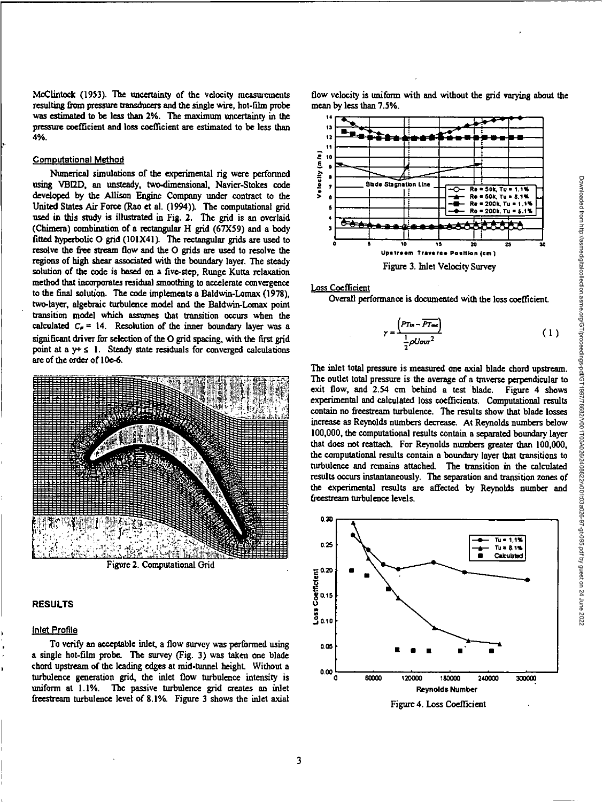McClintock (1953). The uncertainty of the velocity measurements flow velocity is uniform with and without the grid varying about the resulting from pressure transducers and the single wire, hot-film probe mean by less than 7.5%. was estimated to be less than 2%. The maximum uncertainty in the **<sup>14</sup>** pressure coefficient and loss coefficient are estimated to be less than 4%.

#### Computational Method

Numerical simulations of the experimental rig were performed using VB12D, an unsteady, two-dimensional, Navier-Stokes code developed by the Allison Engine Company under contract to the United States Air Force (Rao et al. (1994)). The computational grid used in this study is illustrated in Fig. 2. The grid is an overlaid (Chimera) combination of a rectangular H grid (67X59) and a body fitted hyperbolic 0 grid (10IX41). The rectangular grids are used to resolve the free stream flow and the 0 grids are used to resolve the regions of high shear associated with the boundary layer. The steady solution of the code is based on a five-step, Runge Kutta relaxation method that incorporates residual smoothing to accelerate convergence to the final solution. The code implements a Baldwin-Lomax (1978), two-layer, algebraic turbulence model and the Baldwin-Lomax point transition model which assumes that transition occurs when the calculated  $C_{\nu} = 14$ . Resolution of the inner boundary layer was a significant driver for selection of the O grid spacing, with the first grid point at a  $y + \le 1$ . Steady state residuals for converged calculations are of the order of 10e-6.



Figure 2. Computational Grid

# **RESULTS**

# Inlet Profile

To verify an acceptable inlet, a flow survey was performed using **000 0.05** a single hot-film probe. The survey (Fig. 3) was taken one blade chord upstream of the leading edges at mid-tunnel height. Without a o.co turbulence generation grid, the inlet flow turbulence intensity is o uniform at 1.1%. The passive turbulence grid creates an inlet freestream turbulence level of 8.1%. Figure 3 shows the inlet axial



Loss Coefficient

**Overall** performance is documented with the loss coefficient.

$$
\gamma = \frac{\left(PT_{\text{in}} - \overline{PT_{\text{out}}}\right)}{\frac{1}{2}\rho U \text{out}^2} \tag{1}
$$

The inlet total pressure is measured one axial blade chord upstream. The outlet total pressure is the average of a traverse perpendicular to exit flow, and 2.54 cm behind a test blade. Figure 4 shows experimental and calculated loss coefficients. Computational results contain no freestream turbulence. The results show that blade losses increase as Reynolds numbers decrease. At Reynolds numbers below 100,000, the computational results contain a separated boundary layer that does not reattach. For Reynolds numbers greater than 100,000, the computational results contain a boundary layer that transitions to turbulence and remains attached. The transition in the calculated results occurs instantaneously. The separation and transition zones of the experimental results are affected by Reynolds number and freestream turbulence levels.



Figure 4. Loss Coefficient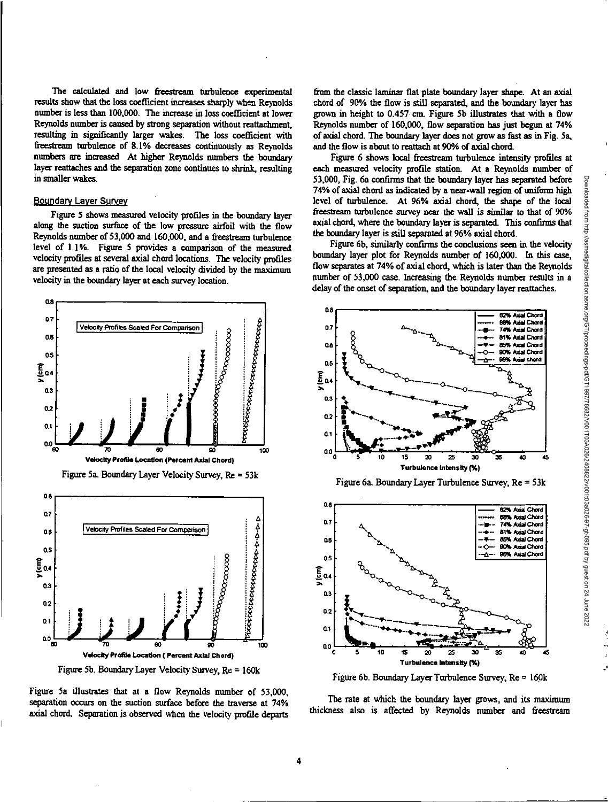http://asmedigitalcollection.asme.org/GT/proceedings-pdf/GT1997/78682/0011034026/24001103a026-97-gt-095.pdf by guest on 24 June 2022

Downloaded from

The calculated and low freestream turbulence experimental results show that the loss coefficient increases sharply when Reynolds number is less than 100,000. The increase in loss coefficient at lower Reynolds number is caused by strong separation without reattachment, resulting in significantly larger wakes. The loss coefficient with freestream turbulence of 8.1% decreases continuously as Reynolds numbers are increased At higher Reynolds numbers the boundary layer reattaches and the separation zone continues to shrink, resulting in smaller wakes.

# **Boundary Layer Survey**

Figure 5 shows measured velocity profiles in the boundary layer along the suction surface of the low pressure airfoil with the flow Reynolds number of 53,000 and 160,000, and a freestream turbulence level of 1.1%. Figure 5 provides a comparison of the measured velocity profiles at several axial chord locations. The velocity profiles are presented as a ratio of the local velocity divided by the maximum velocity in the boundary layer at each survey location.



Figure 5b. Boundary Layer Velocity Survey, Re = 160k

Figure 5a illustrates that at a flow Reynolds number of 53,000. separation occurs on the suction surface before the traverse at 74% axial chord. Separation is observed when the velocity profile departs

from the classic laminar flat plate boundary layer shape. At an axial chord of 90% the flow is still separated, and the boundary layer has grown in height to 0.457 cm. Figure 5b illustrates that with a flow Reynolds number of 160,000, flow separation has just begun at 74% of axial chord. The boundary layer does not grow as fast as in Fig. 5a. and the flow is about to reattach at 90% of axial chord.

Figure 6 shows local freestream turbulence intensity profiles at each measured velocity profile station. At a Reynolds number of 53,000. Fig. 6a confirms that the boundary layer has separated before 74% of axial chord as indicated by a near-wall region of uniform high level of turbulence. At 96% axial chord, the shape of the local freestream turbulence survey near the wall is similar to that of 90% axial chord, where the boundary layer is separated. This confirms that the boundary layer is still separated at 96% axial chord.

Figure 6b, similarly confirms the conclusions seen in the velocity boundary layer plot for Reynolds number of 160,000. In this case, flow separates at 74% of axial chord, which is later than the Reynolds number of 53,000 case. Increasing the Reynolds number results in a delay of the onset of separation, and the boundary layer reattaches.



Figure 6b. Boundary Layer Turbulence Survey,  $Re = 160k$ 

The rate at which the boundary layer grows, and its maximum thickness also is affected by Reynolds number and freestream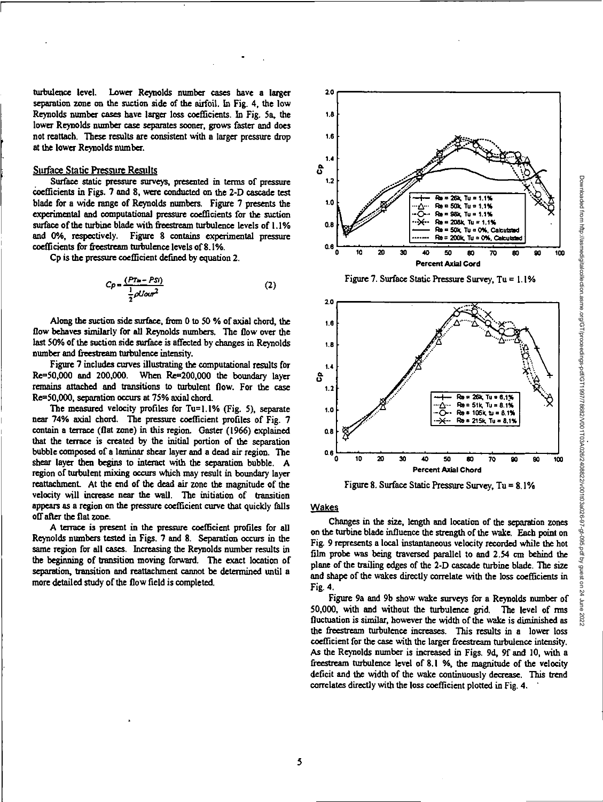**turbulence level. Lower Reynolds number cases have a larger separation zone on the suction side of the airfoil. In Fig. 4, the low Reynolds number cases have larger loss coefficients. In Fig. 5a, the lower Reynolds number case separates sooner, grows faster and does not reattach. These results are consistent with a larger pressure drop at the lower Reynolds number.** 

# Surface Static Pressure Results

**Surface static pressure surveys, presented in terms of pressure**  coefficients in Figs. 7 and 8, were conducted on the 2-D cascade test **blade for a wide range** of Reynolds numbers. Figure 7 presents the **experimental and computational pressure coefficients for the suction surface of the turbine blade with freestream turbulence levels of 1.1% and 0%, respectively. Figure 8 contains experimental pressure coefficients for freestream turbulence levels of 8.1%.** 

**Cp is the pressure coefficient defined by equation 2.** 

$$
C\rho = \frac{(P T \ln - P S i)}{\frac{1}{2} \rho U \alpha r^2}
$$
 (2)

**Along the suction side surface, from 0 to 50 % of axial chord, the flow behaves similarly** for **all Reynolds numbers. The flow over the last 50% of the suction side surface is affected by changes in Reynolds number and freestream turbulence intensity.** 

**Figure 7 includes curves illustrating the computational results for Re=50,000 and 200,000. When Re=200,000 the boundary layer remains attached and transitions to turbulent flow. For the case Re=50,000, separation occurs at 75% axial chord.** 

**The measured velocity profiles for Tu=1.1% (Fig. 5), separate near 74% axial chord. The pressure coefficient profiles of Fig. 7 contain a terrace (flat zone) in this region. Gaster (1966) explained that the terrace is created by the initial portion of the separation bubble composed of a laminar shear layer and a dead air region. The shear layer then begins to interact with the separation bubble. A region of turbulent mixing occurs which may result in boundary layer**  reattachment. At the end of the dead air zone the magnitude of the **velocity will increase near the wall. The initiation of transition appears as a region on the pressure coefficient curve that quickly falls off after the flat zone.** 

**A** terrace is present **in the pressure coefficient profiles for all Reynolds numbers tested in Figs. 7 and 8. Separation occurs in the same region for all cases. Increasing the Reynolds number results in the beginning of transition** moving **forward. The exact location of separation, transition and reattachment cannot be determined until a more detailed study of the flow field is completed.** 



**Figure 7. Surface Static Pressure Survey, Tu = 1.1%** 



**Figure 8. Surface Static Pressure Survey, Tu = 8.1%** 

# **Wakes**

**Changes in the size, length and location of the separation zones on the turbine blade influence the strength of the wake. Each point on Fig. 9 represents a local instantaneous velocity recorded while the hot film probe was being traversed parallel to and 2.54 cm behind the plane of the trailing edges of the 2-D recrorl, turbine blade.** The size and shape **of the wakes directly correlate with the loss coefficients in Fig. 4.** 

**Figure 9a and 9b show wake surveys for a Reynolds number of 50,000, with and without the turbulence grid. The level of nns fluctuation is similar, however the width of the wake is diminished as the freestrezun turbulence increases. This results in a lower loss coefficient for the case with the larger freestream turbulence intensity. AS the Reynolds number is increased in Figs. 9d, 9f and 10, with a freest:ream turbulence level of 8.1 %, the magnitude of the velocity deficit and the width of the wake continuously decrease. This trend**  correlates directly with the loss coefficient plotted in Fig. 4.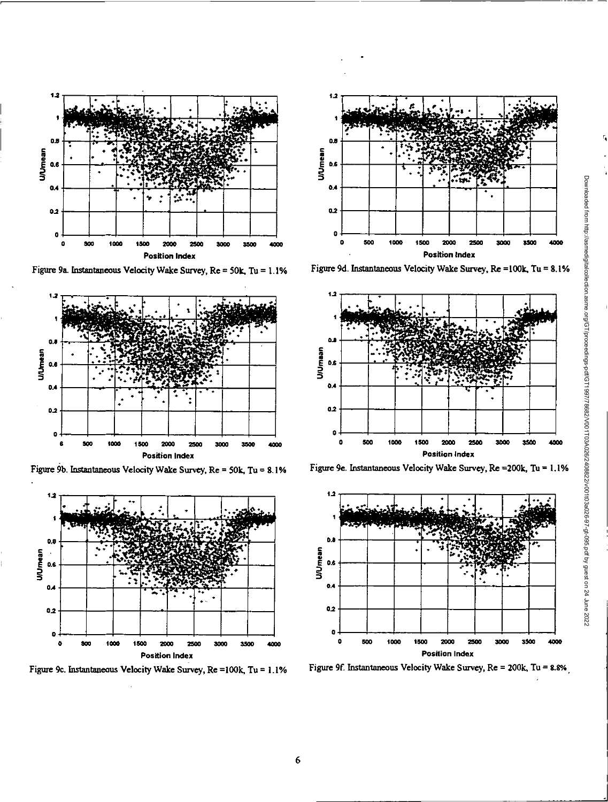

Figure 9a. Instantaneous Velocity Wake Survey, Re = 50k, Tu = 1.1%



Figure 9b. Instantaneous Velocity Wake Survey, Re = 50k, Tu = 8.1%



Figure 9c. Instantaneous Velocity Wake Survey, Re = 100k, Tu = 1.1%



Figure 9d. Instantaneous Velocity Wake Survey, Re =100k, Tu = 8.1%



Figure 9e. Instantaneous Velocity Wake Survey, Re = 200k, Tu = 1.1%



Figure 9f. Instantaneous Velocity Wake Survey, Re = 200k, Tu = 8.8%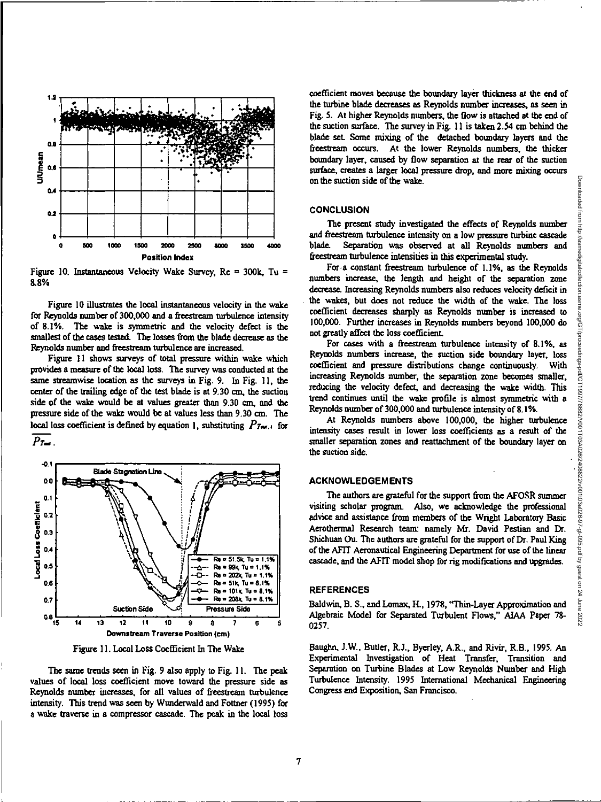

Figure 10. Instantaneous Velocity Wake Survey,  $Re = 300k$ , Tu = 8.8%

Figure 10 illustrates the local instantaneous velocity in the wake for Reynolds number of 300,000 and a freestream turbulence intensity of 8.1%. The wake is symmetric and the velocity defect is the smallest of the cases tested. The losses from the blade decrease as the Reynolds number and freestream turbulence are increased.

Figure 11 shows surveys of total pressure within wake which provides a measure of the local loss. The survey was conducted at the same streamwise location as the surveys in Fig. 9. In Fig. 11, the center of the trailing edge of the test blade is at 9.30 cm, the suction side of the wake would be at values greater than 9.30 cm, and the pressure side of the wake would be at values less than 9.30 cm. The local loss coefficient is defined by equation 1, substituting  $P_{\text{True}, i}$  for  $P_{\text{T}}$ 



Figure 11. Local Loss Coefficient In The Wake

The same trends seen in Fig. 9 also apply to Fig. 11. The peak values of local loss coefficient move toward the pressure side as Reynolds number increases, for all values of freestream turbulence intensity. This trend was seen by Wunderwald and Fottner (1995) for a wake traverse in a compressor cascade. The peak in the local loss

coefficient moves because the boundary layer thickness at the end of the turbine blade decreases as Reynolds number increases, as seen in Fig. 5. At higher Reynolds numbers, the flow is attached at the end of the suction surface. The survey in Fig. 11 is taken 2.54 cm behind the blade set. Some mixing of the detached boundary layers and the freestream occurs. At the lower Reynolds numbers, the thicker boundary layer, caused by flow separation at the rear of the suction surface, creates a larger local pressure drop, and more mixing occurs on the suction side of the wake.

#### **CONCLUSION**

The present study investigated the effects of Reynolds number and freestream turbulence intensity on a low pressure turbine cascade blade. Separation was observed at all Reynolds numbers and freestream turbulence intensities in this experimental study.

For a constant freestream turbulence of 1.1%, as the Reynolds numbers increase, the length and height of the separation zone decrease. Increasing Reynolds numbers also reduces velocity deficit in the wakes, but does not reduce the width of the wake. The loss coefficient decreases sharply as Reynolds number is increased to 100,000. Further increases in Reynolds numbers beyond 100,000 do not greatly affect the loss coefficient.

For cases with a freestream turbulence intensity of 8.1%, as Reynolds numbers increase, the suction side boundary layer, loss coefficient and pressure distributions change continuously. With increasing Reynolds number, the separation zone becomes smaller, reducing the velocity defect, and decreasing the wake width. This trend continues until the wake profile is almost symmetric with a Reynolds number of 300,000 and turbulence intensity of 8.1%.

At Reynolds numbers above 100,000, the higher turbulence intensity cases result in lower loss coefficients as a result of the smaller separation zones and reattachment of the boundary layer on the suction side.

# **ACKNOWLEDGEMENTS**

The authors are grateful for the support from the AFOSR summer visiting scholar program. Also, we acknowledge the professional advice and assistance from members of the Wright Laboratory Basic Aerothermal Research team: namely Mr. David Pestian and Dr. Shichuan Ou. The authors are grateful for the support of Dr. Paul King of the AFIT Aeronautical Engineering Department for use of the linear cascade, and the AFIT model shop for rig modifications and upgrades.

# **REFERENCES**

Baldwin, B. S., and Lomax, H., 1978, "Thin-Laver Approximation and Algebraic Model for Separated Turbulent Flows," AIAA Paper 78-0257.

Baughn, J.W., Butler, R.J., Byerley, A.R., and Rivir, R.B., 1995. An Experimental Investigation of Heat Transfer, Transition and Separation on Turbine Blades at Low Reynolds Number and High Turbulence Intensity. 1995 International Mechanical Engineering Congress and Exposition, San Francisco.